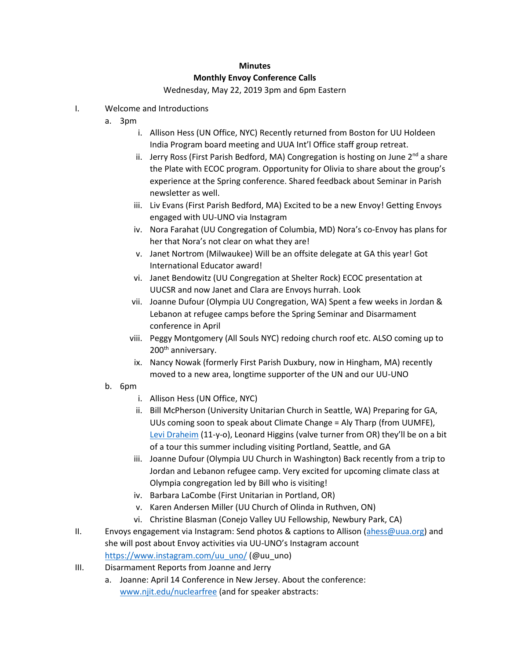## **Minutes Monthly Envoy Conference Calls**

## Wednesday, May 22, 2019 3pm and 6pm Eastern

- I. Welcome and Introductions
	- a. 3pm
		- i. Allison Hess (UN Office, NYC) Recently returned from Boston for UU Holdeen India Program board meeting and UUA Int'l Office staff group retreat.
		- ii. Jerry Ross (First Parish Bedford, MA) Congregation is hosting on June  $2^{nd}$  a share the Plate with ECOC program. Opportunity for Olivia to share about the group's experience at the Spring conference. Shared feedback about Seminar in Parish newsletter as well.
		- iii. Liv Evans (First Parish Bedford, MA) Excited to be a new Envoy! Getting Envoys engaged with UU-UNO via Instagram
		- iv. Nora Farahat (UU Congregation of Columbia, MD) Nora's co-Envoy has plans for her that Nora's not clear on what they are!
		- v. Janet Nortrom (Milwaukee) Will be an offsite delegate at GA this year! Got International Educator award!
		- vi. Janet Bendowitz (UU Congregation at Shelter Rock) ECOC presentation at UUCSR and now Janet and Clara are Envoys hurrah. Look
		- vii. Joanne Dufour (Olympia UU Congregation, WA) Spent a few weeks in Jordan & Lebanon at refugee camps before the Spring Seminar and Disarmament conference in April
		- viii. Peggy Montgomery (All Souls NYC) redoing church roof etc. ALSO coming up to 200<sup>th</sup> anniversary.
		- ix. Nancy Nowak (formerly First Parish Duxbury, now in Hingham, MA) recently moved to a new area, longtime supporter of the UN and our UU-UNO
	- b. 6pm
		- i. Allison Hess (UN Office, NYC)
		- ii. Bill McPherson (University Unitarian Church in Seattle, WA) Preparing for GA, UUs coming soon to speak about Climate Change = Aly Tharp (from UUMFE), [Levi Draheim](https://www.ourchildrenstrust.org/levi) (11-y-o), Leonard Higgins (valve turner from OR) they'll be on a bit of a tour this summer including visiting Portland, Seattle, and GA
		- iii. Joanne Dufour (Olympia UU Church in Washington) Back recently from a trip to Jordan and Lebanon refugee camp. Very excited for upcoming climate class at Olympia congregation led by Bill who is visiting!
		- iv. Barbara LaCombe (First Unitarian in Portland, OR)
		- v. Karen Andersen Miller (UU Church of Olinda in Ruthven, ON)
		- vi. Christine Blasman (Conejo Valley UU Fellowship, Newbury Park, CA)
- II. Envoys engagement via Instagram: Send photos & captions to Allison [\(ahess@uua.org\)](mailto:ahess@uua.org) and she will post about Envoy activities via UU-UNO's Instagram account [https://www.instagram.com/uu\\_uno/](https://www.instagram.com/uu_uno/) (@uu\_uno)
- III. Disarmament Reports from Joanne and Jerry
	- a. Joanne: April 14 Conference in New Jersey. About the conference: [www.njit.edu/nuclearfree](http://www.njit.edu/nuclearfree) (and for speaker abstracts: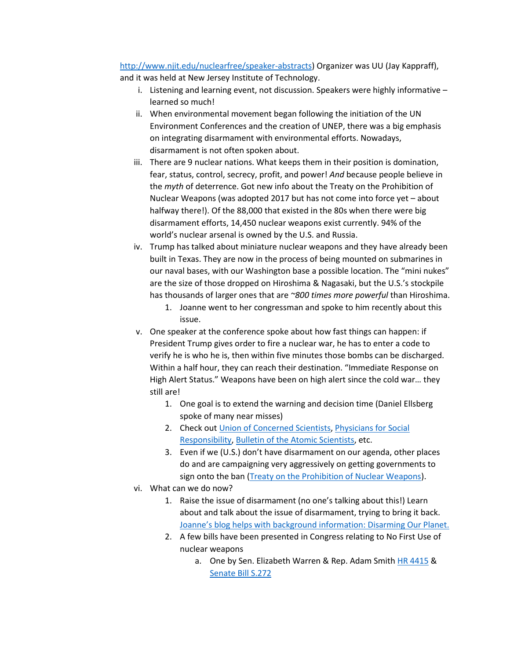[http://www.njit.edu/nuclearfree/speaker-abstracts\)](http://www.njit.edu/nuclearfree/speaker-abstracts) Organizer was UU (Jay Kappraff), and it was held at New Jersey Institute of Technology.

- i. Listening and learning event, not discussion. Speakers were highly informative learned so much!
- ii. When environmental movement began following the initiation of the UN Environment Conferences and the creation of UNEP, there was a big emphasis on integrating disarmament with environmental efforts. Nowadays, disarmament is not often spoken about.
- iii. There are 9 nuclear nations. What keeps them in their position is domination, fear, status, control, secrecy, profit, and power! *And* because people believe in the *myth* of deterrence. Got new info about the Treaty on the Prohibition of Nuclear Weapons (was adopted 2017 but has not come into force yet – about halfway there!). Of the 88,000 that existed in the 80s when there were big disarmament efforts, 14,450 nuclear weapons exist currently. 94% of the world's nuclear arsenal is owned by the U.S. and Russia.
- iv. Trump has talked about miniature nuclear weapons and they have already been built in Texas. They are now in the process of being mounted on submarines in our naval bases, with our Washington base a possible location. The "mini nukes" are the size of those dropped on Hiroshima & Nagasaki, but the U.S.'s stockpile has thousands of larger ones that are *~800 times more powerful* than Hiroshima.
	- 1. Joanne went to her congressman and spoke to him recently about this issue.
- v. One speaker at the conference spoke about how fast things can happen: if President Trump gives order to fire a nuclear war, he has to enter a code to verify he is who he is, then within five minutes those bombs can be discharged. Within a half hour, they can reach their destination. "Immediate Response on High Alert Status." Weapons have been on high alert since the cold war… they still are!
	- 1. One goal is to extend the warning and decision time (Daniel Ellsberg spoke of many near misses)
	- 2. Check out [Union of Concerned Scientists,](https://www.ucsusa.org/) [Physicians for Social](https://www.psr.org/issues/nuclear-weapons-abolition/)  [Responsibility,](https://www.psr.org/issues/nuclear-weapons-abolition/) [Bulletin of the Atomic Scientists,](https://thebulletin.org/) etc.
	- 3. Even if we (U.S.) don't have disarmament on our agenda, other places do and are campaigning very aggressively on getting governments to sign onto the ban [\(Treaty on the Prohibition of Nuclear Weapons\)](https://www.uua.org/international/blog/disarmament/listening-our-neighbors).
- vi. What can we do now?
	- 1. Raise the issue of disarmament (no one's talking about this!) Learn about and talk about the issue of disarmament, trying to bring it back. [Joanne's blog helps with background information: Disarming Our Planet.](https://www.uua.org/international/blog/disarmament)
	- 2. A few bills have been presented in Congress relating to No First Use of nuclear weapons
		- a. One by Sen. Elizabeth Warren & Rep. Adam Smith [HR 4415](https://www.congress.gov/bill/115th-congress/house-bill/4415) & [Senate Bill S.272](https://www.congress.gov/bill/116th-congress/senate-bill/272/text)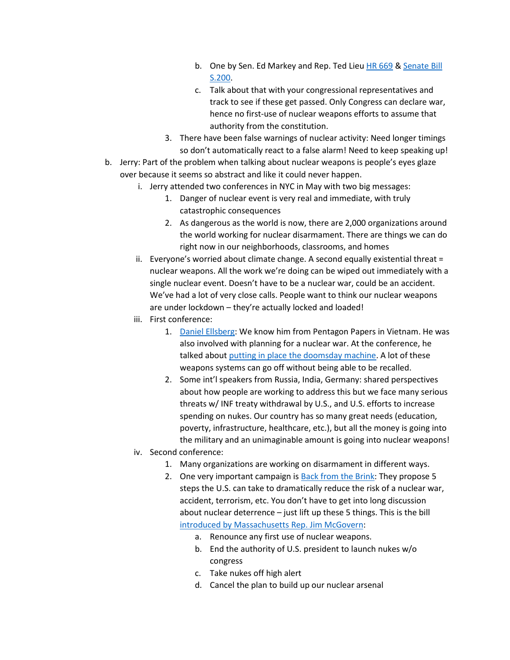- b. One by Sen. Ed Markey and Rep. Ted Lie[u HR 669](https://www.congress.gov/bill/115th-congress/house-bill/669) & [Senate Bill](https://www.congress.gov/bill/115th-congress/senate-bill/200)  [S.200.](https://www.congress.gov/bill/115th-congress/senate-bill/200)
- c. Talk about that with your congressional representatives and track to see if these get passed. Only Congress can declare war, hence no first-use of nuclear weapons efforts to assume that authority from the constitution.
- 3. There have been false warnings of nuclear activity: Need longer timings so don't automatically react to a false alarm! Need to keep speaking up!
- b. Jerry: Part of the problem when talking about nuclear weapons is people's eyes glaze over because it seems so abstract and like it could never happen.
	- i. Jerry attended two conferences in NYC in May with two big messages:
		- 1. Danger of nuclear event is very real and immediate, with truly catastrophic consequences
		- 2. As dangerous as the world is now, there are 2,000 organizations around the world working for nuclear disarmament. There are things we can do right now in our neighborhoods, classrooms, and homes
	- ii. Everyone's worried about climate change. A second equally existential threat = nuclear weapons. All the work we're doing can be wiped out immediately with a single nuclear event. Doesn't have to be a nuclear war, could be an accident. We've had a lot of very close calls. People want to think our nuclear weapons are under lockdown – they're actually locked and loaded!
	- iii. First conference:
		- 1. [Daniel Ellsberg:](https://en.wikipedia.org/wiki/Daniel_Ellsberg) We know him from Pentagon Papers in Vietnam. He was also involved with planning for a nuclear war. At the conference, he talked about [putting in place the doomsday machine.](https://en.wikipedia.org/wiki/Daniel_Ellsberg#The_Doomsday_Machine) A lot of these weapons systems can go off without being able to be recalled.
		- 2. Some int'l speakers from Russia, India, Germany: shared perspectives about how people are working to address this but we face many serious threats w/ INF treaty withdrawal by U.S., and U.S. efforts to increase spending on nukes. Our country has so many great needs (education, poverty, infrastructure, healthcare, etc.), but all the money is going into the military and an unimaginable amount is going into nuclear weapons!
	- iv. Second conference:
		- 1. Many organizations are working on disarmament in different ways.
		- 2. One very important campaign is **Back from the Brink: They propose 5** steps the U.S. can take to dramatically reduce the risk of a nuclear war, accident, terrorism, etc. You don't have to get into long discussion about nuclear deterrence – just lift up these 5 things. This is the bill [introduced by Massachusetts](https://medium.com/@RepMcGovern/reps-mcgovern-blumenauer-introduce-legislation-in-support-of-nuclear-disarmament-7ebbaac6f41d?sk=24210a8b3fe8742c85f3366febd26c4c) Rep. Jim McGovern:
			- a. Renounce any first use of nuclear weapons.
			- b. End the authority of U.S. president to launch nukes w/o congress
			- c. Take nukes off high alert
			- d. Cancel the plan to build up our nuclear arsenal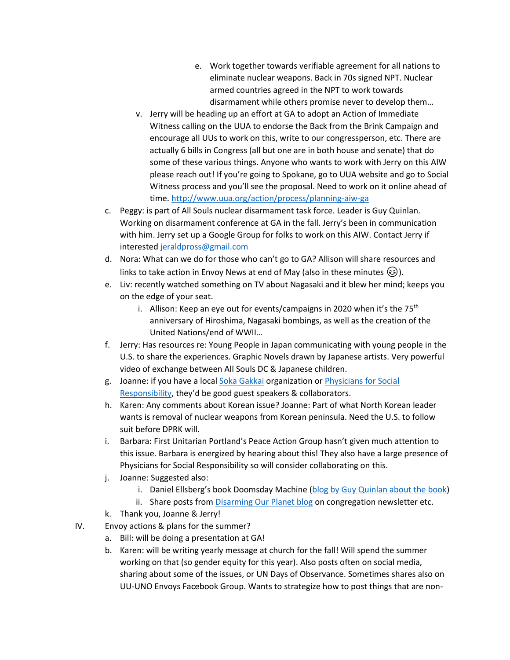- e. Work together towards verifiable agreement for all nations to eliminate nuclear weapons. Back in 70s signed NPT. Nuclear armed countries agreed in the NPT to work towards disarmament while others promise never to develop them…
- v. Jerry will be heading up an effort at GA to adopt an Action of Immediate Witness calling on the UUA to endorse the Back from the Brink Campaign and encourage all UUs to work on this, write to our congressperson, etc. There are actually 6 bills in Congress (all but one are in both house and senate) that do some of these various things. Anyone who wants to work with Jerry on this AIW please reach out! If you're going to Spokane, go to UUA website and go to Social Witness process and you'll see the proposal. Need to work on it online ahead of time[. http://www.uua.org/action/process/planning-aiw-ga](http://www.uua.org/action/process/planning-aiw-ga)
- c. Peggy: is part of All Souls nuclear disarmament task force. Leader is Guy Quinlan. Working on disarmament conference at GA in the fall. Jerry's been in communication with him. Jerry set up a Google Group for folks to work on this AIW. Contact Jerry if intereste[d jeraldpross@gmail.com](mailto:jeraldpross@gmail.com)
- d. Nora: What can we do for those who can't go to GA? Allison will share resources and links to take action in Envoy News at end of May (also in these minutes  $\circled{e}$ ).
- e. Liv: recently watched something on TV about Nagasaki and it blew her mind; keeps you on the edge of your seat.
	- i. Allison: Keep an eye out for events/campaigns in 2020 when it's the  $75<sup>th</sup>$ anniversary of Hiroshima, Nagasaki bombings, as well as the creation of the United Nations/end of WWII…
- f. Jerry: Has resources re: Young People in Japan communicating with young people in the U.S. to share the experiences. Graphic Novels drawn by Japanese artists. Very powerful video of exchange between All Souls DC & Japanese children.
- g. Joanne: if you have a loca[l Soka Gakkai](https://www.sgi.org/) organization or [Physicians for Social](https://www.psr.org/issues/nuclear-weapons-abolition/)  [Responsibility,](https://www.psr.org/issues/nuclear-weapons-abolition/) they'd be good guest speakers & collaborators.
- h. Karen: Any comments about Korean issue? Joanne: Part of what North Korean leader wants is removal of nuclear weapons from Korean peninsula. Need the U.S. to follow suit before DPRK will.
- i. Barbara: First Unitarian Portland's Peace Action Group hasn't given much attention to this issue. Barbara is energized by hearing about this! They also have a large presence of Physicians for Social Responsibility so will consider collaborating on this.
- j. Joanne: Suggested also:
	- i. Daniel Ellsberg's book Doomsday Machine [\(blog by Guy Quinlan about the book\)](https://www.uua.org/international/blog/disarmament/new-years-resolution-proposal-put-disarmament-agenda-immediate)
	- ii. Share posts from *Disarming Our Planet blog* on congregation newsletter etc.
- k. Thank you, Joanne & Jerry!
- IV. Envoy actions & plans for the summer?
	- a. Bill: will be doing a presentation at GA!
	- b. Karen: will be writing yearly message at church for the fall! Will spend the summer working on that (so gender equity for this year). Also posts often on social media, sharing about some of the issues, or UN Days of Observance. Sometimes shares also on UU-UNO Envoys Facebook Group. Wants to strategize how to post things that are non-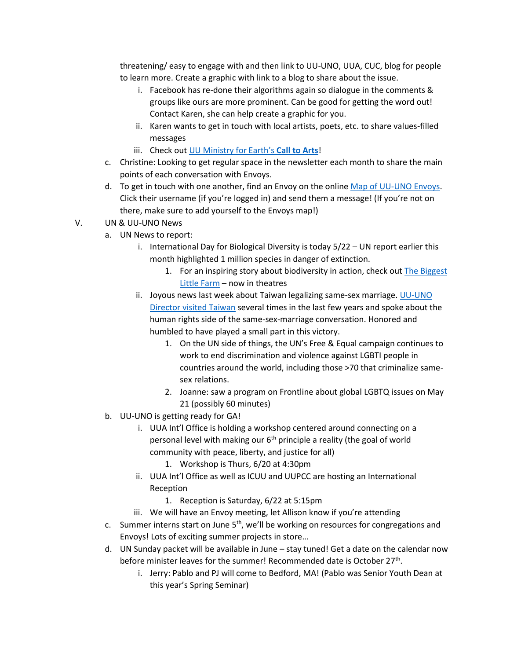threatening/ easy to engage with and then link to UU-UNO, UUA, CUC, blog for people to learn more. Create a graphic with link to a blog to share about the issue.

- i. Facebook has re-done their algorithms again so dialogue in the comments & groups like ours are more prominent. Can be good for getting the word out! Contact Karen, she can help create a graphic for you.
- ii. Karen wants to get in touch with local artists, poets, etc. to share values-filled messages
- iii. Check out [UU Ministry for Earth's](https://docs.google.com/document/d/1Rj6RRKcr5tHCP4mnmoFy3r5tV5F7Rrt8HZk-cCzDvH8/edit) **Call to Arts**!
- c. Christine: Looking to get regular space in the newsletter each month to share the main points of each conversation with Envoys.
- d. To get in touch with one another, find an Envoy on the online [Map of UU-UNO Envoys.](http://www.uua.org/international-justice/un/envoys/map) Click their username (if you're logged in) and send them a message! (If you're not on there, make sure to add yourself to the Envoys map!)
- V. UN & UU-UNO News
	- a. UN News to report:
		- i. International Day for Biological Diversity is today 5/22 UN report earlier this month highlighted 1 million species in danger of extinction.
			- 1. For an inspiring story about biodiversity in action, check ou[t The Biggest](https://www.biggestlittlefarmmovie.com/)  [Little Farm](https://www.biggestlittlefarmmovie.com/) – now in theatres
		- ii. Joyous news last week about Taiwan legalizing same-sex marriage. UU-UNO [Director visited Taiwan](https://www.taiwannews.com.tw/en/news/3588558) several times in the last few years and spoke about the human rights side of the same-sex-marriage conversation. Honored and humbled to have played a small part in this victory.
			- 1. On the UN side of things, the UN's Free & Equal campaign continues to work to end discrimination and violence against LGBTI people in countries around the world, including those >70 that criminalize samesex relations.
			- 2. Joanne: saw a program on Frontline about global LGBTQ issues on May 21 (possibly 60 minutes)
	- b. UU-UNO is getting ready for GA!
		- i. UUA Int'l Office is holding a workshop centered around connecting on a personal level with making our  $6<sup>th</sup>$  principle a reality (the goal of world community with peace, liberty, and justice for all)
			- 1. Workshop is Thurs, 6/20 at 4:30pm
		- ii. UUA Int'l Office as well as ICUU and UUPCC are hosting an International Reception
			- 1. Reception is Saturday, 6/22 at 5:15pm
		- iii. We will have an Envoy meeting, let Allison know if you're attending
	- c. Summer interns start on June  $5<sup>th</sup>$ , we'll be working on resources for congregations and Envoys! Lots of exciting summer projects in store…
	- d. UN Sunday packet will be available in June stay tuned! Get a date on the calendar now before minister leaves for the summer! Recommended date is October 27<sup>th</sup>.
		- i. Jerry: Pablo and PJ will come to Bedford, MA! (Pablo was Senior Youth Dean at this year's Spring Seminar)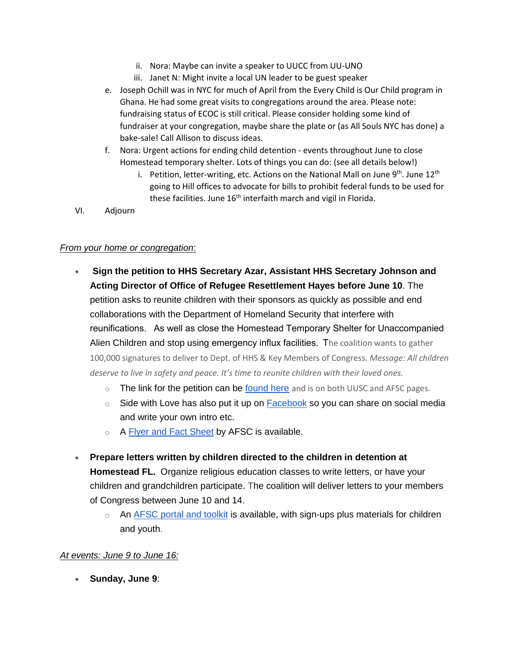- ii. Nora: Maybe can invite a speaker to UUCC from UU-UNO
- iii. Janet N: Might invite a local UN leader to be guest speaker
- e. Joseph Ochill was in NYC for much of April from the Every Child is Our Child program in Ghana. He had some great visits to congregations around the area. Please note: fundraising status of ECOC is still critical. Please consider holding some kind of fundraiser at your congregation, maybe share the plate or (as All Souls NYC has done) a bake-sale! Call Allison to discuss ideas.
- f. Nora: Urgent actions for ending child detention events throughout June to close Homestead temporary shelter. Lots of things you can do: (see all details below!)
	- i. Petition, letter-writing, etc. Actions on the National Mall on June  $9<sup>th</sup>$ . June  $12<sup>th</sup>$ going to Hill offices to advocate for bills to prohibit federal funds to be used for these facilities. June  $16<sup>th</sup>$  interfaith march and vigil in Florida.
- VI. Adjourn

## *From your home or congregation*:

- **Sign the petition to HHS Secretary Azar, Assistant HHS Secretary Johnson and Acting Director of Office of Refugee Resettlement Hayes before June 10**. The petition asks to reunite children with their sponsors as quickly as possible and end collaborations with the Department of Homeland Security that interfere with reunifications.    As well as close the Homestead Temporary Shelter for Unaccompanied Alien Children and stop using emergency influx facilities.  The coalition wants to gather 100,000 signatures to deliver to Dept. of HHS & Key Members of Congress. *Message: All children deserve to live in safety and peace. It's time to reunite children with their loved ones.*
	- o The link for the petition can be [found here](http://salsa4.salsalabs.com/dia/track.jsp?v=2&c=noIkVv%2FXUjZejh8OfoNidSqsvcRvTot2) and is on both UUSC and AFSC pages.
	- $\circ$  Side with Love has also put it up on **Facebook** so you can share on social media and write your own intro etc.
	- o A [Flyer and Fact Sheet](http://salsa4.salsalabs.com/dia/track.jsp?v=2&c=xIJQ6K4j82DHAhMYSKM8FyqsvcRvTot2) by AFSC is available.
- **Prepare letters written by children directed to the children in detention at Homestead FL.** Organize religious education classes to write letters, or have your children and grandchildren participate. The coalition will deliver letters to your members of Congress between June 10 and 14.
	- $\circ$  An [AFSC portal and toolkit](http://salsa4.salsalabs.com/dia/track.jsp?v=2&c=3WBWYf1JV%2BUIo7rEmaxvYCqsvcRvTot2) is available, with sign-ups plus materials for children and youth.

## *At events: June 9 to June 16:*

• **Sunday, June 9**: